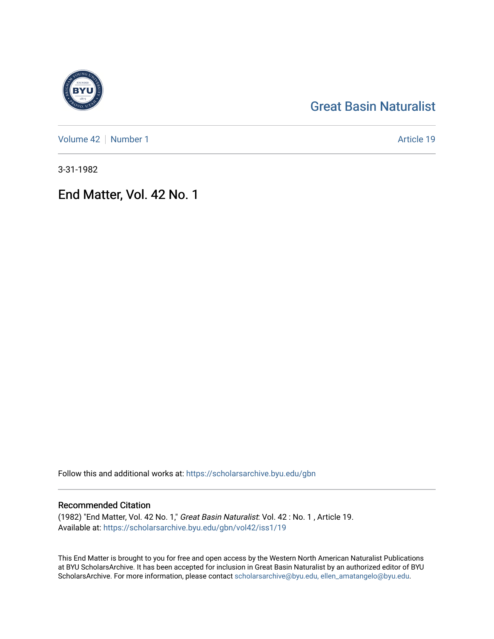# [Great Basin Naturalist](https://scholarsarchive.byu.edu/gbn)

[Volume 42](https://scholarsarchive.byu.edu/gbn/vol42) | [Number 1](https://scholarsarchive.byu.edu/gbn/vol42/iss1) Article 19

3-31-1982

End Matter, Vol. 42 No. 1

Follow this and additional works at: [https://scholarsarchive.byu.edu/gbn](https://scholarsarchive.byu.edu/gbn?utm_source=scholarsarchive.byu.edu%2Fgbn%2Fvol42%2Fiss1%2F19&utm_medium=PDF&utm_campaign=PDFCoverPages) 

# Recommended Citation

(1982) "End Matter, Vol. 42 No. 1," Great Basin Naturalist: Vol. 42 : No. 1 , Article 19. Available at: [https://scholarsarchive.byu.edu/gbn/vol42/iss1/19](https://scholarsarchive.byu.edu/gbn/vol42/iss1/19?utm_source=scholarsarchive.byu.edu%2Fgbn%2Fvol42%2Fiss1%2F19&utm_medium=PDF&utm_campaign=PDFCoverPages) 

This End Matter is brought to you for free and open access by the Western North American Naturalist Publications at BYU ScholarsArchive. It has been accepted for inclusion in Great Basin Naturalist by an authorized editor of BYU ScholarsArchive. For more information, please contact [scholarsarchive@byu.edu, ellen\\_amatangelo@byu.edu.](mailto:scholarsarchive@byu.edu,%20ellen_amatangelo@byu.edu)

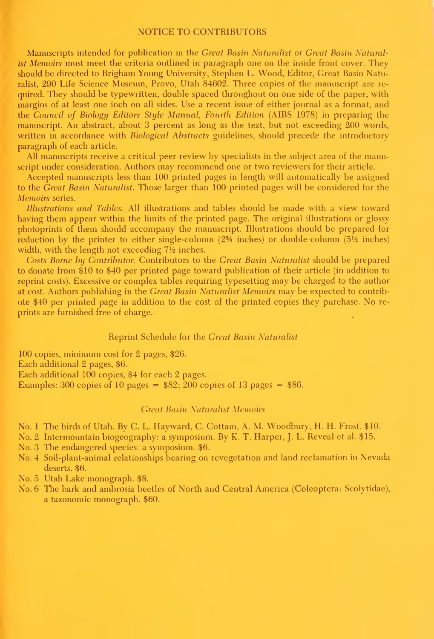#### NOTICE TO CONTRIBUTORS

Manuscripts intended for publication in the Great Basin Naturalist or Great Basin Naturalist Memoirs must meet the criteria outlined in paragraph one on the inside front cover. They should be directed to Brigham Young University, Stephen L. Wood, Editor, Great Basin Naturalist, 290 Life Science Museum, Provo, Utah 84602. Three copies of the manuscript are re quired. They should be typewritten, double spaced throughout on one side of the paper, with margins of at least one inch on all sides. Use a recent issue of either journal as a format, and the Council of Biology Editors Style Manual, Fourth Edition (AIBS 1978) in preparing the manuscript. An abstract, about 3 percent as long as the text, but not exceeding 200 words, written in accordance with *Biological Abstracts* guidelines, should precede the introductory paragraph of each article.

All manuscripts receive a critical peer review by specialists in the subject area of the manuscript under consideration. Authors may recommend one or two reviewers for their article.

Accepted manuscripts less than 100 printed pages in length will automatically be assigned to the Great Basin Naturalist. Those larger than 100 printed pages will be considered for the Memoirs series.

Illustrations and Tables. All illustrations and tables should be made with a view toward having them appear within the limits of the printed page. The original illustrations or glossy photoprints of them should accompany the manuscript. Illustrations should be prepared for reduction by the printer to either single-column  $(2\frac{5}{6})$  inches) or double-column  $(5\frac{1}{2})$  inches) width, with the length not exceeding  $7\frac{1}{2}$  inches.

Costs Borne by Contributor. Contributors to the Great Basin Naturalist should be prepared to donate from \$10 to \$40 per printed page toward publication of their article (in addition to reprint costs). Excessive or complex tables requiring typesetting may be charged to the author at cost. Authors publishing in the Great Basin Naturalist Memoirs may be expected to contrib ute \$40 per printed page in addition to the cost of the printed copies they purchase. No re prints are furnished free of charge.

### Reprint Schedule for the Great Basin Naturalist

100 copies, minimum cost for 2 pages, \$26. Each additional 2 pages, \$6. Each additional 100 copies, \$4 for each 2 pages. Examples: 300 copies of 10 pages =  $$82$ ;  $\overline{200}$  copies of 13 pages = \$86.

#### Great Basin Xaturalisf Memoirs

No. <sup>1</sup>The birds of Utah. By C. L. Hayward, C. Cottam, A. M. Woodbury, H. H. Frost. \$10.

No. 2 Intermountain biogeography: <sup>a</sup> symposium. By K. T. Harper, J. L. Reveal et al. \$15.

No. 3 The endangered species: a symposium. \$6.

No. 4 Soil-plant-animal relationships bearing on revegetation and land reclamation in Nevada deserts. \$6.

No. 5 Utah Lake monograph. \$8.

No. 6 The bark and ambrosia beetles of North and Central America (Coleoptera: Scolytidae), a taxonomic monograph. \$60.